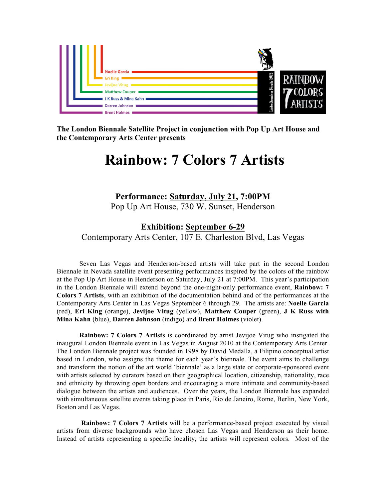

**The London Biennale Satellite Project in conjunction with Pop Up Art House and the Contemporary Arts Center presents**

# **Rainbow: 7 Colors 7 Artists**

# **Performance: Saturday, July 21, 7:00PM**

Pop Up Art House, 730 W. Sunset, Henderson

# **Exhibition: September 6-29**

Contemporary Arts Center, 107 E. Charleston Blvd, Las Vegas

Seven Las Vegas and Henderson-based artists will take part in the second London Biennale in Nevada satellite event presenting performances inspired by the colors of the rainbow at the Pop Up Art House in Henderson on Saturday, July 21 at 7:00PM. This year's participation in the London Biennale will extend beyond the one-night-only performance event, **Rainbow: 7 Colors 7 Artists**, with an exhibition of the documentation behind and of the performances at the Contemporary Arts Center in Las Vegas September 6 through 29. The artists are: **Noelle Garcia** (red), **Eri King** (orange), **Jevijoe Vitug** (yellow), **Matthew Couper** (green), **J K Russ with Mina Kahn** (blue), **Darren Johnson** (indigo) and **Brent Holmes** (violet).

**Rainbow: 7 Colors 7 Artists** is coordinated by artist Jevijoe Vitug who instigated the inaugural London Biennale event in Las Vegas in August 2010 at the Contemporary Arts Center. The London Biennale project was founded in 1998 by David Medalla, a Filipino conceptual artist based in London, who assigns the theme for each year's biennale. The event aims to challenge and transform the notion of the art world 'biennale' as a large state or corporate-sponsored event with artists selected by curators based on their geographical location, citizenship, nationality, race and ethnicity by throwing open borders and encouraging a more intimate and community-based dialogue between the artists and audiences. Over the years, the London Biennale has expanded with simultaneous satellite events taking place in Paris, Rio de Janeiro, Rome, Berlin, New York, Boston and Las Vegas.

**Rainbow: 7 Colors 7 Artists** will be a performance-based project executed by visual artists from diverse backgrounds who have chosen Las Vegas and Henderson as their home. Instead of artists representing a specific locality, the artists will represent colors. Most of the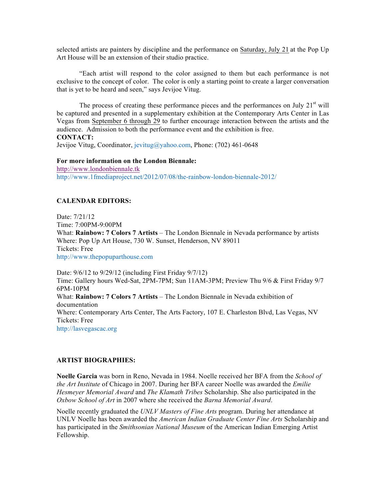selected artists are painters by discipline and the performance on Saturday, July 21 at the Pop Up Art House will be an extension of their studio practice.

"Each artist will respond to the color assigned to them but each performance is not exclusive to the concept of color. The color is only a starting point to create a larger conversation that is yet to be heard and seen," says Jevijoe Vitug.

The process of creating these performance pieces and the performances on July  $21<sup>st</sup>$  will be captured and presented in a supplementary exhibition at the Contemporary Arts Center in Las Vegas from September 6 through 29 to further encourage interaction between the artists and the audience. Admission to both the performance event and the exhibition is free. **CONTACT:**

Jevijoe Vitug, Coordinator, jevitug@yahoo.com, Phone: (702) 461-0648

#### **For more information on the London Biennale:**

http://www.londonbiennale.tk http://www.1fmediaproject.net/2012/07/08/the-rainbow-london-biennale-2012/

## **CALENDAR EDITORS:**

Date: 7/21/12 Time: 7:00PM-9:00PM What: **Rainbow: 7 Colors 7 Artists** – The London Biennale in Nevada performance by artists Where: Pop Up Art House, 730 W. Sunset, Henderson, NV 89011 Tickets: Free http://www.thepopuparthouse.com

Date: 9/6/12 to 9/29/12 (including First Friday 9/7/12) Time: Gallery hours Wed-Sat, 2PM-7PM; Sun 11AM-3PM; Preview Thu 9/6 & First Friday 9/7 6PM-10PM What: **Rainbow: 7 Colors 7 Artists** – The London Biennale in Nevada exhibition of documentation Where: Contemporary Arts Center, The Arts Factory, 107 E. Charleston Blvd, Las Vegas, NV Tickets: Free http://lasvegascac.org

## **ARTIST BIOGRAPHIES:**

**Noelle Garcia** was born in Reno, Nevada in 1984. Noelle received her BFA from the *School of the Art Institute* of Chicago in 2007. During her BFA career Noelle was awarded the *Emilie Hesmeyer Memorial Award* and *The Klamath Tribes* Scholarship. She also participated in the *Oxbow School of Art* in 2007 where she received the *Barna Memorial Award*.

Noelle recently graduated the *UNLV Masters of Fine Arts* program. During her attendance at UNLV Noelle has been awarded the *American Indian Graduate Center Fine Arts* Scholarship and has participated in the *Smithsonian National Museum* of the American Indian Emerging Artist Fellowship.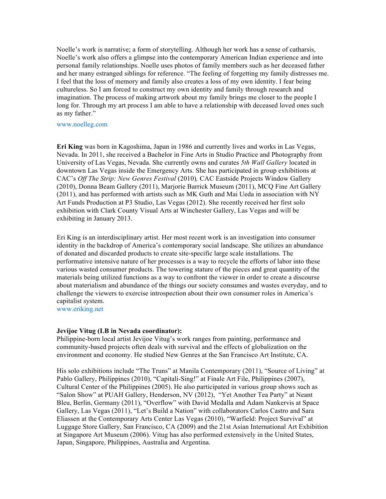Noelle's work is narrative; a form of storytelling. Although her work has a sense of catharsis, Noelle's work also offers a glimpse into the contemporary American Indian experience and into personal family relationships. Noelle uses photos of family members such as her deceased father and her many estranged siblings for reference. "The feeling of forgetting my family distresses me. I feel that the loss of memory and family also creates a loss of my own identity. I fear being cultureless. So I am forced to construct my own identity and family through research and imagination. The process of making artwork about my family brings me closer to the people I long for. Through my art process I am able to have a relationship with deceased loved ones such as my father."

### www.noelleg.com

**Eri King** was born in Kagoshima, Japan in 1986 and currently lives and works in Las Vegas, Nevada. In 2011, she received a Bachelor in Fine Arts in Studio Practice and Photography from University of Las Vegas, Nevada. She currently owns and curates *5th Wall Gallery* located in downtown Las Vegas inside the Emergency Arts. She has participated in group exhibitions at CAC's *Off The Strip: New Genres Festival* (2010)*,* CAC Eastside Projects Window Gallery (2010), Donna Beam Gallery (2011), Marjorie Barrick Museum (2011), MCQ Fine Art Gallery (2011), and has performed with artists such as MK Guth and Mai Ueda in association with NY Art Funds Production at P3 Studio, Las Vegas (2012). She recently received her first solo exhibition with Clark County Visual Arts at Winchester Gallery, Las Vegas and will be exhibiting in January 2013.

Eri King is an interdisciplinary artist. Her most recent work is an investigation into consumer identity in the backdrop of America's contemporary social landscape. She utilizes an abundance of donated and discarded products to create site-specific large scale installations. The performative intensive nature of her processes is a way to recycle the efforts of labor into these various wasted consumer products. The towering stature of the pieces and great quantity of the materials being utilized functions as a way to confront the viewer in order to create a discourse about materialism and abundance of the things our society consumes and wastes everyday, and to challenge the viewers to exercise introspection about their own consumer roles in America's capitalist system.

www.eriking.net

#### **Jevijoe Vitug (LB in Nevada coordinator):**

Philippine-born local artist Jevijoe Vitug's work ranges from painting, performance and community-based projects often deals with survival and the effects of globalization on the environment and economy. He studied New Genres at the San Francisco Art Institute, CA.

His solo exhibitions include "The Truns" at Manila Contemporary (2011), "Source of Living" at Pablo Gallery, Philippines (2010), "Capitali-Sing!" at Finale Art File, Philippines (2007), Cultural Center of the Philippines (2005). He also participated in various group shows such as "Salon Show" at PUAH Gallery, Henderson, NV (2012), "Yet Another Tea Party" at Neant Bleu, Berlin, Germany (2011), "Overflow" with David Medalla and Adam Nankervis at Space Gallery, Las Vegas (2011), "Let's Build a Nation" with collaborators Carlos Castro and Sara Eliassen at the Contemporary Arts Center Las Vegas (2010), "Warfield: Project Survival" at Luggage Store Gallery, San Francisco, CA (2009) and the 21st Asian International Art Exhibition at Singapore Art Museum (2006). Vitug has also performed extensively in the United States, Japan, Singapore, Philippines, Australia and Argentina.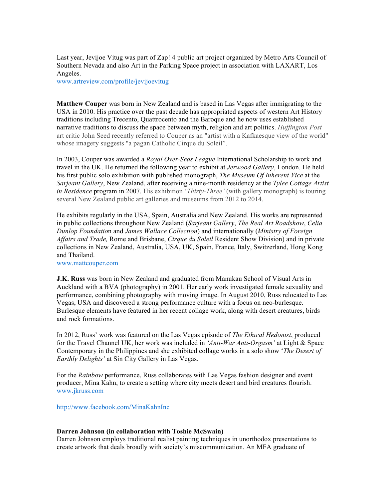Last year, Jevijoe Vitug was part of Zap! 4 public art project organized by Metro Arts Council of Southern Nevada and also Art in the Parking Space project in association with LAXART, Los Angeles.

www.artreview.com/profile/jevijoevitug

**Matthew Couper** was born in New Zealand and is based in Las Vegas after immigrating to the USA in 2010. His practice over the past decade has appropriated aspects of western Art History traditions including Trecento, Quattrocento and the Baroque and he now uses established narrative traditions to discuss the space between myth, religion and art politics. *Huffington Post*  art critic John Seed recently referred to Couper as an "artist with a Kafkaesque view of the world" whose imagery suggests "a pagan Catholic Cirque du Soleil".

In 2003, Couper was awarded a *Royal Over-Seas League* International Scholarship to work and travel in the UK. He returned the following year to exhibit at *Jerwood Gallery*, London. He held his first public solo exhibition with published monograph, *The Museum Of Inherent Vice* at the *Sarjeant Gallery*, New Zealand, after receiving a nine-month residency at the *Tylee Cottage Artist in Residence* program in 2007. His exhibition '*Thirty-Three'* (with gallery monograph) is touring several New Zealand public art galleries and museums from 2012 to 2014.

He exhibits regularly in the USA, Spain, Australia and New Zealand. His works are represented in public collections throughout New Zealand (*Sarjeant Gallery*, *The Real Art Roadshow*, *Celia Dunlop Foundatio*n and *James Wallace Collection*) and internationally (*Ministry of Foreign Affairs and Trade,* Rome and Brisbane, *Cirque du Soleil* Resident Show Division) and in private collections in New Zealand, Australia, USA, UK, Spain, France, Italy, Switzerland, Hong Kong and Thailand.

www.mattcouper.com

**J.K. Russ** was born in New Zealand and graduated from Manukau School of Visual Arts in Auckland with a BVA (photography) in 2001. Her early work investigated female sexuality and performance, combining photography with moving image. In August 2010, Russ relocated to Las Vegas, USA and discovered a strong performance culture with a focus on neo-burlesque. Burlesque elements have featured in her recent collage work, along with desert creatures, birds and rock formations.

In 2012, Russ' work was featured on the Las Vegas episode of *The Ethical Hedonist*, produced for the Travel Channel UK, her work was included in *'Anti-War Anti-Orgasm'* at Light & Space Contemporary in the Philippines and she exhibited collage works in a solo show '*The Desert of Earthly Delights'* at Sin City Gallery in Las Vegas.

For the *Rainbow* performance, Russ collaborates with Las Vegas fashion designer and event producer, Mina Kahn, to create a setting where city meets desert and bird creatures flourish. www.jkruss.com

http://www.facebook.com/MinaKahnInc

#### **Darren Johnson (in collaboration with Toshie McSwain)**

Darren Johnson employs traditional realist painting techniques in unorthodox presentations to create artwork that deals broadly with society's miscommunication. An MFA graduate of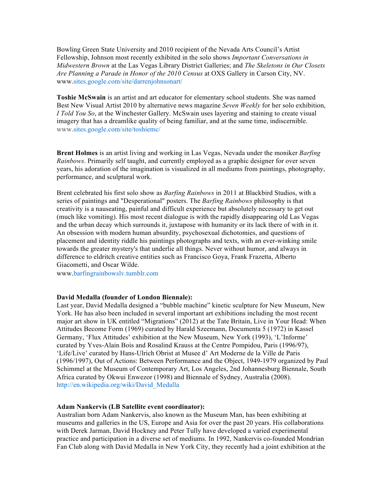Bowling Green State University and 2010 recipient of the Nevada Arts Council's Artist Fellowship, Johnson most recently exhibited in the solo shows *Important Conversations in Midwestern Brown* at the Las Vegas Library District Galleries; and *The Skeletons in Our Closets Are Planning a Parade in Honor of the 2010 Census* at OXS Gallery in Carson City, NV. www.sites.google.com/site/darrenjohnsonart/

**Toshie McSwain** is an artist and art educator for elementary school students. She was named Best New Visual Artist 2010 by alternative news magazine *Seven Weekly* for her solo exhibition, *I Told You So*, at the Winchester Gallery. McSwain uses layering and staining to create visual imagery that has a dreamlike quality of being familiar, and at the same time, indiscernible. www.sites.google.com/site/toshiemc/

**Brent Holmes** is an artist living and working in Las Vegas, Nevada under the moniker *Barfing Rainbows*. Primarily self taught, and currently employed as a graphic designer for over seven years, his adoration of the imagination is visualized in all mediums from paintings, photography, performance, and sculptural work.

Brent celebrated his first solo show as *Barfing Rainbows* in 2011 at Blackbird Studios, with a series of paintings and "Desperational" posters. The *Barfing Rainbows* philosophy is that creativity is a nauseating, painful and difficult experience but absolutely necessary to get out (much like vomiting). His most recent dialogue is with the rapidly disappearing old Las Vegas and the urban decay which surrounds it, juxtapose with humanity or its lack there of with in it. An obsession with modern human absurdity, psychosexual dichotomies, and questions of placement and identity riddle his paintings photographs and texts, with an ever-winking smile towards the greater mystery's that underlie all things. Never without humor, and always in difference to eldritch creative entities such as Francisco Goya, Frank Frazetta, Alberto Giacometti, and Oscar Wilde.

www.barfingrainbowslv.tumblr.com

#### **David Medalla (founder of London Biennale):**

Last year, David Medalla designed a "bubble machine" kinetic sculpture for New Museum, New York. He has also been included in several important art exhibitions including the most recent major art show in UK entitled "Migrations" (2012) at the Tate Britain, Live in Your Head: When Attitudes Become Form (1969) curated by Harald Szeemann, Documenta 5 (1972) in Kassel Germany, 'Flux Attitudes' exhibition at the New Museum, New York (1993), 'L'Informe' curated by Yves-Alain Bois and Rosalind Krauss at the Centre Pompidou, Paris (1996/97), 'Life/Live' curated by Hans-Ulrich Obrist at Musee d' Art Moderne de la Ville de Paris (1996/1997), Out of Actions: Between Performance and the Object, 1949-1979 organized by Paul Schimmel at the Museum of Contemporary Art, Los Angeles, 2nd Johannesburg Biennale, South Africa curated by Okwui Enwezor (1998) and Biennale of Sydney, Australia (2008). http://en.wikipedia.org/wiki/David\_Medalla

#### **Adam Nankervis (LB Satellite event coordinator):**

Australian born Adam Nankervis, also known as the Museum Man, has been exhibiting at museums and galleries in the US, Europe and Asia for over the past 20 years. His collaborations with Derek Jarman, David Hockney and Peter Tully have developed a varied experimental practice and participation in a diverse set of mediums. In 1992, Nankervis co-founded Mondrian Fan Club along with David Medalla in New York City, they recently had a joint exhibition at the